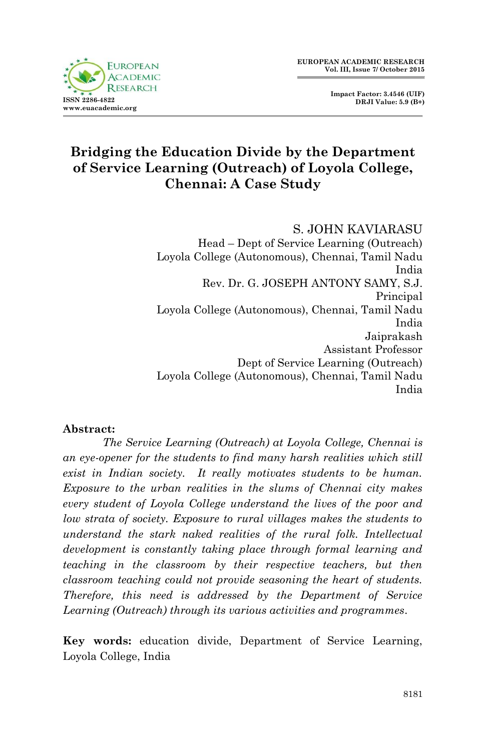

# **Bridging the Education Divide by the Department of Service Learning (Outreach) of Loyola College, Chennai: A Case Study**

S. JOHN KAVIARASU Head – Dept of Service Learning (Outreach) Loyola College (Autonomous), Chennai, Tamil Nadu India Rev. Dr. G. JOSEPH ANTONY SAMY, S.J. Principal Loyola College (Autonomous), Chennai, Tamil Nadu India Jaiprakash Assistant Professor Dept of Service Learning (Outreach) Loyola College (Autonomous), Chennai, Tamil Nadu India

#### **Abstract:**

*The Service Learning (Outreach) at Loyola College, Chennai is an eye-opener for the students to find many harsh realities which still exist in Indian society. It really motivates students to be human. Exposure to the urban realities in the slums of Chennai city makes every student of Loyola College understand the lives of the poor and low strata of society. Exposure to rural villages makes the students to understand the stark naked realities of the rural folk. Intellectual development is constantly taking place through formal learning and teaching in the classroom by their respective teachers, but then classroom teaching could not provide seasoning the heart of students. Therefore, this need is addressed by the Department of Service Learning (Outreach) through its various activities and programmes.*

**Key words:** education divide, Department of Service Learning, Loyola College, India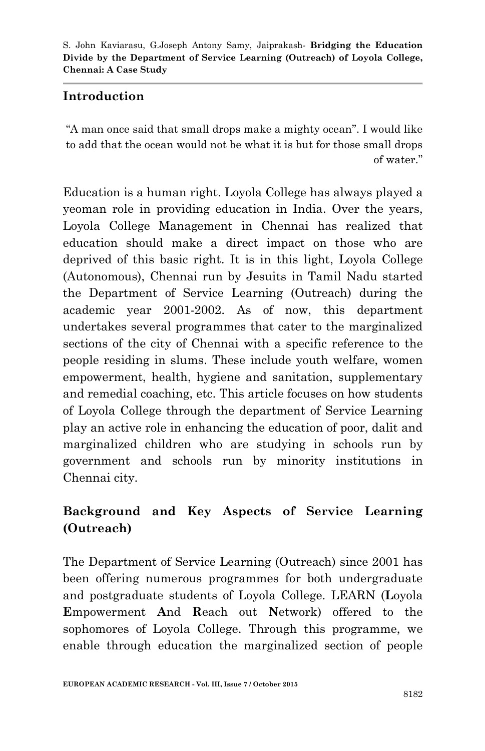## **Introduction**

"A man once said that small drops make a mighty ocean". I would like to add that the ocean would not be what it is but for those small drops of water."

Education is a human right. Loyola College has always played a yeoman role in providing education in India. Over the years, Loyola College Management in Chennai has realized that education should make a direct impact on those who are deprived of this basic right. It is in this light, Loyola College (Autonomous), Chennai run by Jesuits in Tamil Nadu started the Department of Service Learning (Outreach) during the academic year 2001-2002. As of now, this department undertakes several programmes that cater to the marginalized sections of the city of Chennai with a specific reference to the people residing in slums. These include youth welfare, women empowerment, health, hygiene and sanitation, supplementary and remedial coaching, etc. This article focuses on how students of Loyola College through the department of Service Learning play an active role in enhancing the education of poor, dalit and marginalized children who are studying in schools run by government and schools run by minority institutions in Chennai city.

# **Background and Key Aspects of Service Learning (Outreach)**

The Department of Service Learning (Outreach) since 2001 has been offering numerous programmes for both undergraduate and postgraduate students of Loyola College. LEARN (**L**oyola **E**mpowerment **A**nd **R**each out **N**etwork) offered to the sophomores of Loyola College. Through this programme, we enable through education the marginalized section of people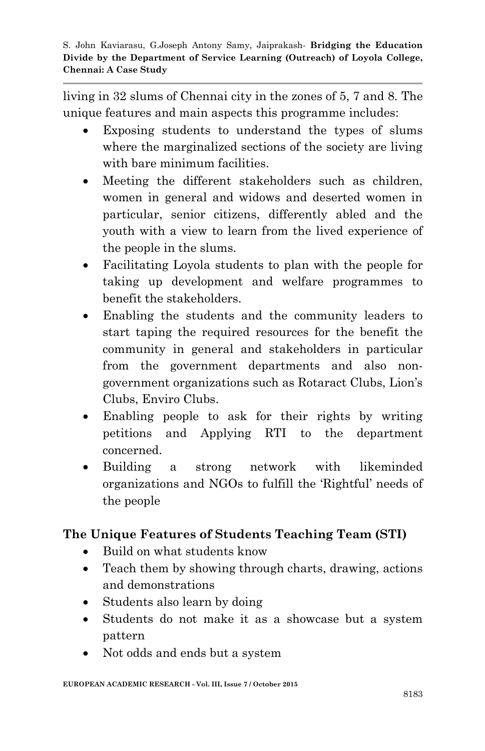living in 32 slums of Chennai city in the zones of 5, 7 and 8. The unique features and main aspects this programme includes:

- Exposing students to understand the types of slums where the marginalized sections of the society are living with bare minimum facilities.
- Meeting the different stakeholders such as children, women in general and widows and deserted women in particular, senior citizens, differently abled and the youth with a view to learn from the lived experience of the people in the slums.
- Facilitating Loyola students to plan with the people for taking up development and welfare programmes to benefit the stakeholders.
- Enabling the students and the community leaders to start taping the required resources for the benefit the community in general and stakeholders in particular from the government departments and also nongovernment organizations such as Rotaract Clubs, Lion"s Clubs, Enviro Clubs.
- Enabling people to ask for their rights by writing petitions and Applying RTI to the department concerned.
- Building a strong network with likeminded organizations and NGOs to fulfill the "Rightful" needs of the people

# **The Unique Features of Students Teaching Team (STI)**

- Build on what students know
- Teach them by showing through charts, drawing, actions and demonstrations
- Students also learn by doing
- Students do not make it as a showcase but a system pattern
- Not odds and ends but a system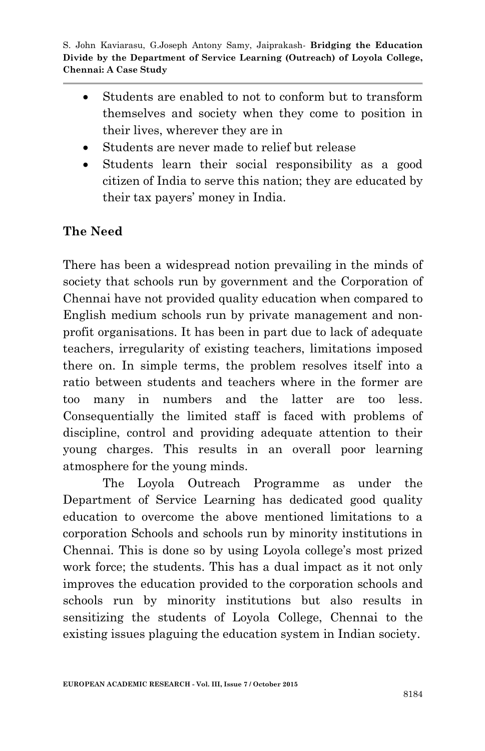- Students are enabled to not to conform but to transform themselves and society when they come to position in their lives, wherever they are in
- Students are never made to relief but release
- Students learn their social responsibility as a good citizen of India to serve this nation; they are educated by their tax payers" money in India.

### **The Need**

There has been a widespread notion prevailing in the minds of society that schools run by government and the Corporation of Chennai have not provided quality education when compared to English medium schools run by private management and nonprofit organisations. It has been in part due to lack of adequate teachers, irregularity of existing teachers, limitations imposed there on. In simple terms, the problem resolves itself into a ratio between students and teachers where in the former are too many in numbers and the latter are too less. Consequentially the limited staff is faced with problems of discipline, control and providing adequate attention to their young charges. This results in an overall poor learning atmosphere for the young minds.

The Loyola Outreach Programme as under the Department of Service Learning has dedicated good quality education to overcome the above mentioned limitations to a corporation Schools and schools run by minority institutions in Chennai. This is done so by using Loyola college's most prized work force; the students. This has a dual impact as it not only improves the education provided to the corporation schools and schools run by minority institutions but also results in sensitizing the students of Loyola College, Chennai to the existing issues plaguing the education system in Indian society.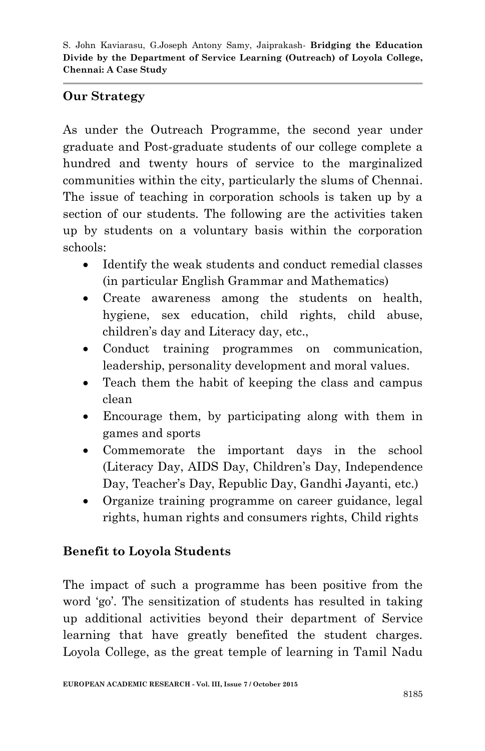### **Our Strategy**

As under the Outreach Programme, the second year under graduate and Post-graduate students of our college complete a hundred and twenty hours of service to the marginalized communities within the city, particularly the slums of Chennai. The issue of teaching in corporation schools is taken up by a section of our students. The following are the activities taken up by students on a voluntary basis within the corporation schools:

- Identify the weak students and conduct remedial classes (in particular English Grammar and Mathematics)
- Create awareness among the students on health, hygiene, sex education, child rights, child abuse, children"s day and Literacy day, etc.,
- Conduct training programmes on communication, leadership, personality development and moral values.
- Teach them the habit of keeping the class and campus clean
- Encourage them, by participating along with them in games and sports
- Commemorate the important days in the school (Literacy Day, AIDS Day, Children"s Day, Independence Day, Teacher"s Day, Republic Day, Gandhi Jayanti, etc.)
- Organize training programme on career guidance, legal rights, human rights and consumers rights, Child rights

### **Benefit to Loyola Students**

The impact of such a programme has been positive from the word 'go'. The sensitization of students has resulted in taking up additional activities beyond their department of Service learning that have greatly benefited the student charges. Loyola College, as the great temple of learning in Tamil Nadu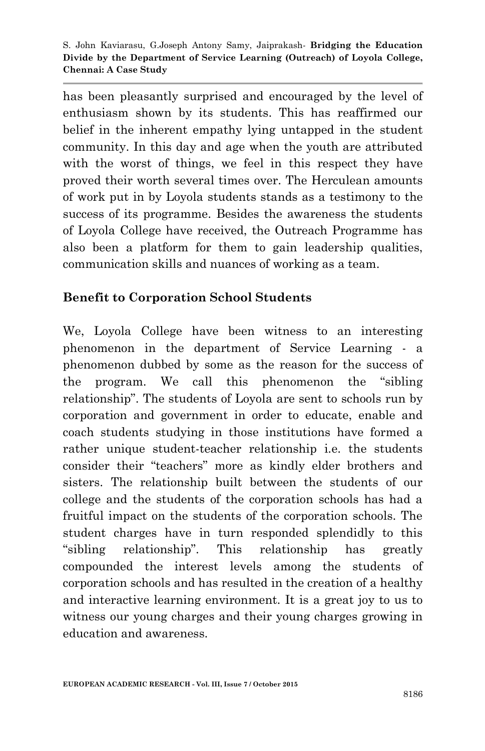has been pleasantly surprised and encouraged by the level of enthusiasm shown by its students. This has reaffirmed our belief in the inherent empathy lying untapped in the student community. In this day and age when the youth are attributed with the worst of things, we feel in this respect they have proved their worth several times over. The Herculean amounts of work put in by Loyola students stands as a testimony to the success of its programme. Besides the awareness the students of Loyola College have received, the Outreach Programme has also been a platform for them to gain leadership qualities, communication skills and nuances of working as a team.

### **Benefit to Corporation School Students**

We, Loyola College have been witness to an interesting phenomenon in the department of Service Learning - a phenomenon dubbed by some as the reason for the success of the program. We call this phenomenon the "sibling relationship". The students of Loyola are sent to schools run by corporation and government in order to educate, enable and coach students studying in those institutions have formed a rather unique student-teacher relationship i.e. the students consider their "teachers" more as kindly elder brothers and sisters. The relationship built between the students of our college and the students of the corporation schools has had a fruitful impact on the students of the corporation schools. The student charges have in turn responded splendidly to this "sibling relationship". This relationship has greatly compounded the interest levels among the students of corporation schools and has resulted in the creation of a healthy and interactive learning environment. It is a great joy to us to witness our young charges and their young charges growing in education and awareness.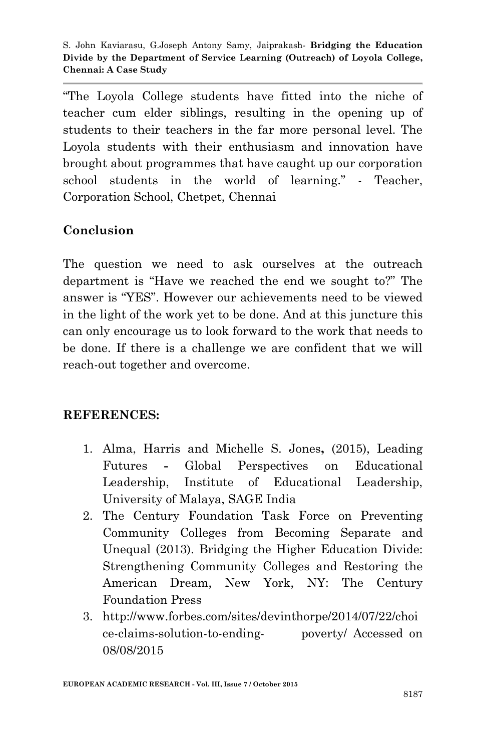"The Loyola College students have fitted into the niche of teacher cum elder siblings, resulting in the opening up of students to their teachers in the far more personal level. The Loyola students with their enthusiasm and innovation have brought about programmes that have caught up our corporation school students in the world of learning." - Teacher, Corporation School, Chetpet, Chennai

### **Conclusion**

The question we need to ask ourselves at the outreach department is "Have we reached the end we sought to?" The answer is "YES". However our achievements need to be viewed in the light of the work yet to be done. And at this juncture this can only encourage us to look forward to the work that needs to be done. If there is a challenge we are confident that we will reach-out together and overcome.

#### **REFERENCES:**

- 1. Alma, Harris and Michelle S. Jones**,** (2015), Leading Futures **-** Global Perspectives on Educational Leadership, Institute of Educational Leadership, University of Malaya, SAGE India
- 2. The Century Foundation Task Force on Preventing Community Colleges from Becoming Separate and Unequal (2013). Bridging the Higher Education Divide: Strengthening Community Colleges and Restoring the American Dream, New York, NY: The Century Foundation Press
- 3. http://www.forbes.com/sites/devinthorpe/2014/07/22/choi ce-claims-solution-to-ending- poverty/ Accessed on 08/08/2015